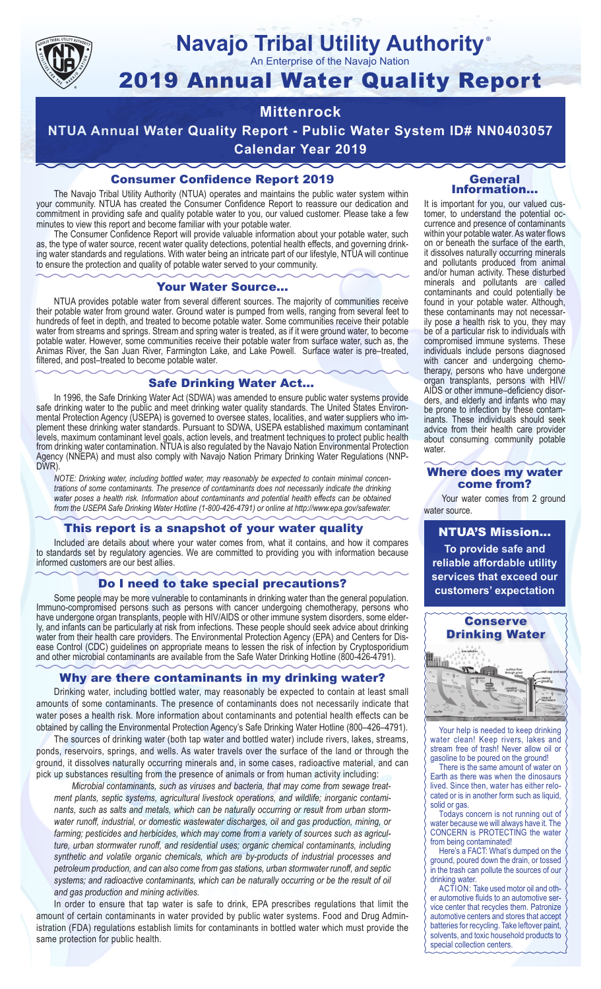

# **Navajo Tribal Utility Authority** ®

An Enterprise of the Navajo Nation

# 2019 Annual Water Quality Report

# **Mittenrock**

**NTUA Annual Water Quality Report - Public Water System ID# NN0403057 Calendar Year 2019**

# Consumer Confidence Report 2019

The Navajo Tribal Utility Authority (NTUA) operates and maintains the public water system within your community. NTUA has created the Consumer Confidence Report to reassure our dedication and commitment in providing safe and quality potable water to you, our valued customer. Please take a few minutes to view this report and become familiar with your potable water.

The Consumer Confidence Report will provide valuable information about your potable water, such as, the type of water source, recent water quality detections, potential health effects, and governing drinking water standards and regulations. With water being an intricate part of our lifestyle, NTUA will continue to ensure the protection and quality of potable water served to your community.

#### Your Water Source…

NTUA provides potable water from several different sources. The majority of communities receive their potable water from ground water. Ground water is pumped from wells, ranging from several feet to hundreds of feet in depth, and treated to become potable water. Some communities receive their potable water from streams and springs. Stream and spring water is treated, as if it were ground water, to become potable water. However, some communities receive their potable water from surface water, such as, the Animas River, the San Juan River, Farmington Lake, and Lake Powell. Surface water is pre–treated, filtered, and post–treated to become potable water.

# Safe Drinking Water Act…

In 1996, the Safe Drinking Water Act (SDWA) was amended to ensure public water systems provide safe drinking water to the public and meet drinking water quality standards. The United States Environmental Protection Agency (USEPA) is governed to oversee states, localities, and water suppliers who implement these drinking water standards. Pursuant to SDWA, USEPA established maximum contaminant levels, maximum contaminant level goals, action levels, and treatment techniques to protect public health from drinking water contamination. NTUA is also regulated by the Navajo Nation Environmental Protection Agency (NNEPA) and must also comply with Navajo Nation Primary Drinking Water Regulations (NNP-DWR)

*NOTE: Drinking water, including bottled water, may reasonably be expected to contain minimal concentrations of some contaminants. The presence of contaminants does not necessarily indicate the drinking water poses a health risk. Information about contaminants and potential health effects can be obtained from the USEPA Safe Drinking Water Hotline (1-800-426-4791) or online at http://www.epa.gov/safewater.*

# This report is a snapshot of your water quality

Included are details about where your water comes from, what it contains, and how it compares to standards set by regulatory agencies. We are committed to providing you with information because informed customers are our best allies.

# Do I need to take special precautions?

Some people may be more vulnerable to contaminants in drinking water than the general population. Immuno-compromised persons such as persons with cancer undergoing chemotherapy, persons who have undergone organ transplants, people with HIV/AIDS or other immune system disorders, some elderly, and infants can be particularly at risk from infections. These people should seek advice about drinking water from their health care providers. The Environmental Protection Agency (EPA) and Centers for Disease Control (CDC) guidelines on appropriate means to lessen the risk of infection by Cryptosporidium and other microbial contaminants are available from the Safe Water Drinking Hotline (800-426-4791).

# Why are there contaminants in my drinking water?

Drinking water, including bottled water, may reasonably be expected to contain at least small amounts of some contaminants. The presence of contaminants does not necessarily indicate that water poses a health risk. More information about contaminants and potential health effects can be obtained by calling the Environmental Protection Agency's Safe Drinking Water Hotline (800–426–4791).

The sources of drinking water (both tap water and bottled water) include rivers, lakes, streams, ponds, reservoirs, springs, and wells. As water travels over the surface of the land or through the ground, it dissolves naturally occurring minerals and, in some cases, radioactive material, and can pick up substances resulting from the presence of animals or from human activity including:

*Microbial contaminants, such as viruses and bacteria, that may come from sewage treatment plants, septic systems, agricultural livestock operations, and wildlife; inorganic contaminants, such as salts and metals, which can be naturally occurring or result from urban stormwater runoff, industrial, or domestic wastewater discharges, oil and gas production, mining, or farming; pesticides and herbicides, which may come from a variety of sources such as agriculture, urban stormwater runoff, and residential uses; organic chemical contaminants, including synthetic and volatile organic chemicals, which are by-products of industrial processes and petroleum production, and can also come from gas stations, urban stormwater runoff, and septic systems; and radioactive contaminants, which can be naturally occurring or be the result of oil and gas production and mining activities.*

In order to ensure that tap water is safe to drink, EPA prescribes regulations that limit the amount of certain contaminants in water provided by public water systems. Food and Drug Administration (FDA) regulations establish limits for contaminants in bottled water which must provide the same protection for public health.

#### General Information…

It is important for you, our valued customer, to understand the potential occurrence and presence of contaminants within your potable water. As water flows on or beneath the surface of the earth, it dissolves naturally occurring minerals and pollutants produced from animal and/or human activity. These disturbed minerals and pollutants are called contaminants and could potentially be found in your potable water. Although, these contaminants may not necessarily pose a health risk to you, they may be of a particular risk to individuals with compromised immune systems. These individuals include persons diagnosed with cancer and undergoing chemo-<br>therapy, persons who have undergone organ transplants, persons with HIV/ AIDS or other immune–deficiency disor- ders, and elderly and infants who may be prone to infection by these contam- inants. These individuals should seek advice from their health care provider about consuming community potable water.

#### Where does my water come from?

Your water comes from 2 ground water source.

NTUA'S Mission... **To provide safe and reliable affordable utility services that exceed our customers' expectation**



Your help is needed to keep drinking water clean! Keep rivers, lakes and stream free of trash! Never allow oil or gasoline to be poured on the ground!

There is the same amount of water on Earth as there was when the dinosaurs lived. Since then, water has either relocated or is in another form such as liquid, solid or gas.

Todays concern is not running out of water because we will always have it. The CONCERN is PROTECTING the water from being contaminated!

Here's a FACT: What's dumped on the ground, poured down the drain, or tossed in the trash can pollute the sources of our drinking water.

ACTION: Take used motor oil and other automotive fluids to an automotive service center that recycles them. Patronize automotive centers and stores that accept batteries for recycling. Take leftover paint, solvents, and toxic household products to special collection centers.